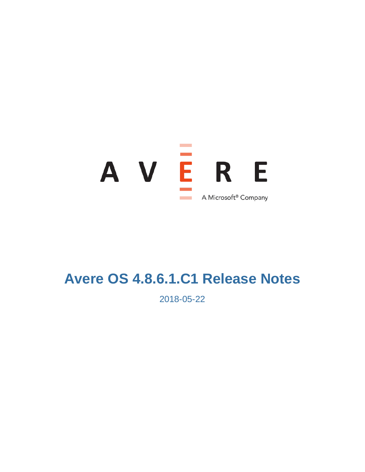

# **Avere OS 4.8.6.1.C1 Release Notes**

2018-05-22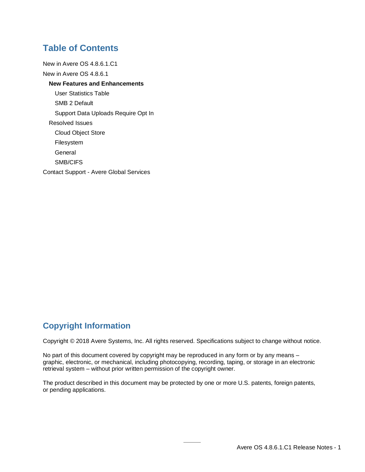### **Table of Contents**

[New in Avere OS 4.8.6.1.C1](#page-2-0) [New in Avere OS 4.8.6.1](#page-3-0) **[New Features and Enhancements](#page-3-1)** [User Statistics Table](#page-3-2) [SMB 2 Default](#page-3-3) [Support Data Uploads Require Opt In](#page-3-4) [Resolved Issues](#page-4-0) [Cloud Object Store](#page-4-1) [Filesystem](#page-4-2) **[General](#page-4-3)** [SMB/CIFS](#page-4-4) Contact Support - [Avere Global Services](#page-5-0)

### **Copyright Information**

Copyright © 2018 Avere Systems, Inc. All rights reserved. Specifications subject to change without notice.

No part of this document covered by copyright may be reproduced in any form or by any means – graphic, electronic, or mechanical, including photocopying, recording, taping, or storage in an electronic retrieval system – without prior written permission of the copyright owner.

The product described in this document may be protected by one or more U.S. patents, foreign patents, or pending applications.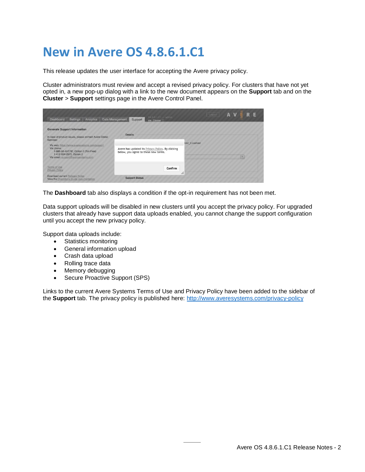# <span id="page-2-1"></span><span id="page-2-0"></span>**New in Avere OS 4.8.6.1.C1**

This release updates the user interface for accepting the Avere privacy policy.

Cluster administrators must review and accept a revised privacy policy. For clusters that have not yet opted in, a new pop-up dialog with a link to the new document appears on the **Support** tab and on the **Cluster** > **Support** settings page in the Avere Control Panel.

| <b>Dashboard</b><br>Settings<br>Analytics                                                                                                                                           | $VA 8.6.1 CO1 - admun.$<br>Data Management<br>Support<br>ste Cluster                      | Logout      | A V |
|-------------------------------------------------------------------------------------------------------------------------------------------------------------------------------------|-------------------------------------------------------------------------------------------|-------------|-----|
| <b>Generate Support Information</b><br>In case of product issues, please contact Avere Global                                                                                       | <b>Details</b>                                                                            |             |     |
| Services:<br>Via web: https://www.averesystems.com/support<br>Via phone:<br>1-888-88-AVERE, Option 2 (Toll-Free)<br>1-412-894-2570, Option 2<br>Via email: support@averesystems.com | Avere has updated its Privacy Policy. By clicking<br>below, you agree to these new terms. | ter Cluster |     |
| Terms of Use<br>Privacy Policy                                                                                                                                                      | Confirm<br>11.                                                                            |             |     |
| Download current Release Notes<br>View the Operations Guide documentation                                                                                                           | <b>Support Status</b>                                                                     |             |     |

The **Dashboard** tab also displays a condition if the opt-in requirement has not been met.

Data support uploads will be disabled in new clusters until you accept the privacy policy. For upgraded clusters that already have support data uploads enabled, you cannot change the support configuration until you accept the new privacy policy.

Support data uploads include:

- Statistics monitoring
- General information upload
- Crash data upload
- Rolling trace data
- Memory debugging
- Secure Proactive Support (SPS)

Links to the current Avere Systems Terms of Use and Privacy Policy have been added to the sidebar of the **Support** tab. The privacy policy is published here:<http://www.averesystems.com/privacy-policy>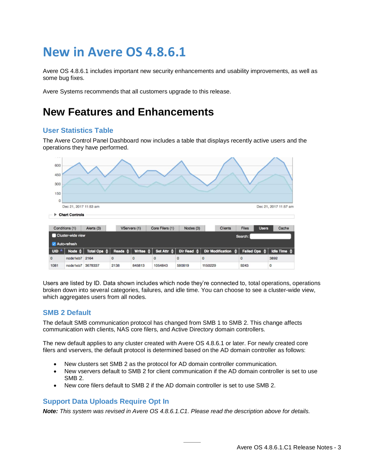# <span id="page-3-0"></span>**New in Avere OS 4.8.6.1**

Avere OS 4.8.6.1 includes important new security enhancements and usability improvements, as well as some bug fixes.

<span id="page-3-1"></span>Avere Systems recommends that all customers upgrade to this release.

### **New Features and Enhancements**

#### <span id="page-3-2"></span>**User Statistics Table**

The Avere Control Panel Dashboard now includes a table that displays recently active users and the operations they have performed.



Users are listed by ID. Data shown includes which node they're connected to, total operations, operations broken down into several categories, failures, and idle time. You can choose to see a cluster-wide view, which aggregates users from all nodes.

#### <span id="page-3-3"></span>**SMB 2 Default**

The default SMB communication protocol has changed from SMB 1 to SMB 2. This change affects communication with clients, NAS core filers, and Active Directory domain controllers.

The new default applies to any cluster created with Avere OS 4.8.6.1 or later. For newly created core filers and vservers, the default protocol is determined based on the AD domain controller as follows:

- New clusters set SMB 2 as the protocol for AD domain controller communication.
- New vservers default to SMB 2 for client communication if the AD domain controller is set to use SMB 2.
- New core filers default to SMB 2 if the AD domain controller is set to use SMB 2.

#### <span id="page-3-4"></span>**Support Data Uploads Require Opt In**

*Note: This system was revised in Avere OS 4.8.6.1.C1. Please read the description [above](#page-2-1) for details.*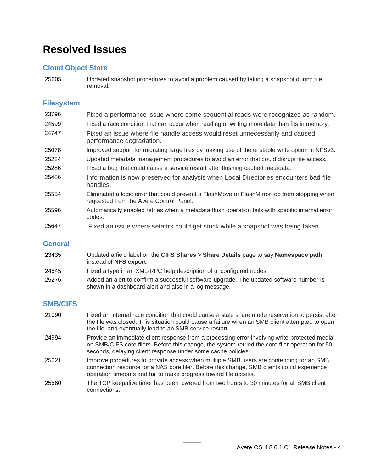## <span id="page-4-0"></span>**Resolved Issues**

### <span id="page-4-1"></span>**Cloud Object Store**

25605 Updated snapshot procedures to avoid a problem caused by taking a snapshot during file removal.

#### <span id="page-4-2"></span>**Filesystem**

| 23796 | Fixed a performance issue where some sequential reads were recognized as random.                                                         |
|-------|------------------------------------------------------------------------------------------------------------------------------------------|
| 24599 | Fixed a race condition that can occur when reading or writing more data than fits in memory.                                             |
| 24747 | Fixed an issue where file handle access would reset unnecessarily and caused<br>performance degradation.                                 |
| 25078 | Improved support for migrating large files by making use of the unstable write option in NFSv3.                                          |
| 25284 | Updated metadata management procedures to avoid an error that could disrupt file access.                                                 |
| 25286 | Fixed a bug that could cause a service restart after flushing cached metadata.                                                           |
| 25486 | Information is now preserved for analysis when Local Directories encounters bad file<br>handles.                                         |
| 25554 | Eliminated a logic error that could prevent a FlashMove or FlashMirror job from stopping when<br>requested from the Avere Control Panel. |
| 25596 | Automatically enabled retries when a metadata flush operation fails with specific internal error<br>codes.                               |
| 25647 | Fixed an issue where setattrs could get stuck while a snapshot was being taken.                                                          |

#### <span id="page-4-3"></span>**General**

| 23435 | Updated a field label on the CIFS Shares > Share Details page to say Namespace path<br>instead of NFS export.                                    |
|-------|--------------------------------------------------------------------------------------------------------------------------------------------------|
| 24545 | Fixed a typo in an XML-RPC help description of unconfigured nodes.                                                                               |
| 25276 | Added an alert to confirm a successful software upgrade. The updated software number is<br>shown in a dashboard alert and also in a log message. |

#### <span id="page-4-4"></span>**SMB/CIFS**

| 21090 | Fixed an internal race condition that could cause a stale share mode reservation to persist after<br>the file was closed. This situation could cause a failure when an SMB client attempted to open<br>the file, and eventually lead to an SMB service restart. |
|-------|-----------------------------------------------------------------------------------------------------------------------------------------------------------------------------------------------------------------------------------------------------------------|
| 24994 | Provide an immediate client response from a processing error involving write-protected media<br>on SMB/CIFS core filers. Before this change, the system retried the core filer operation for 50<br>seconds, delaying client response under some cache policies. |
| 25021 | Improve procedures to provide access when multiple SMB users are contending for an SMB<br>connection resource for a NAS core filer. Before this change, SMB clients could experience<br>operation timeouts and fail to make progress toward file access.        |
| 25560 | The TCP keepalive timer has been lowered from two hours to 30 minutes for all SMB client<br>connections.                                                                                                                                                        |